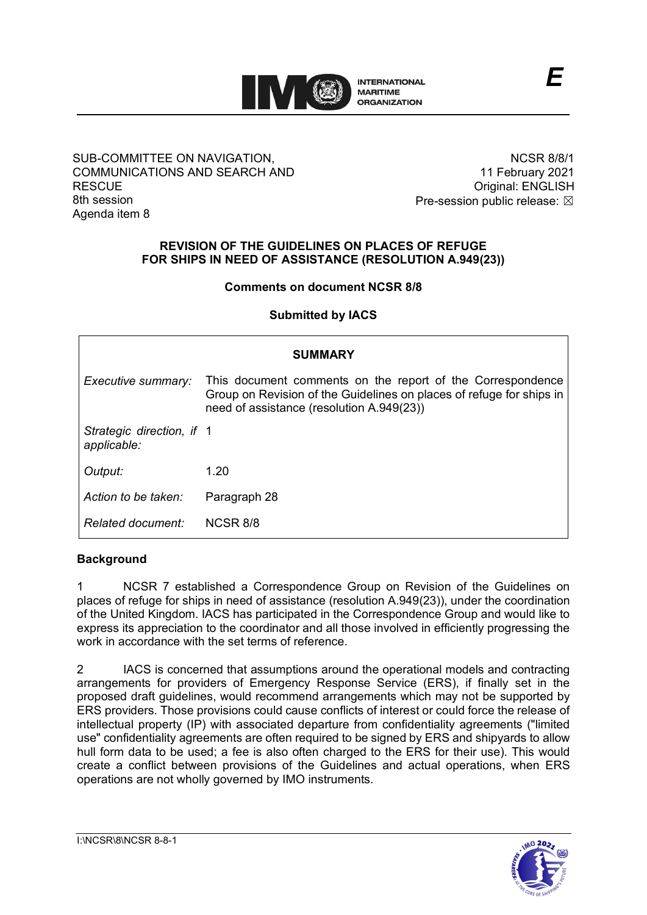

#### SUB-COMMITTEE ON NAVIGATION, COMMUNICATIONS AND SEARCH AND **RESCUE** 8th session Agenda item 8

NCSR 8/8/1 11 February 2021 Original: ENGLISH Pre-session public release:  $\boxtimes$ 

### **REVISION OF THE GUIDELINES ON PLACES OF REFUGE FOR SHIPS IN NEED OF ASSISTANCE (RESOLUTION A.949(23))**

#### **Comments on document NCSR 8/8**

**Submitted by IACS**

| <b>SUMMARY</b>                           |                                                                                                                                                                                 |
|------------------------------------------|---------------------------------------------------------------------------------------------------------------------------------------------------------------------------------|
| Executive summary:                       | This document comments on the report of the Correspondence<br>Group on Revision of the Guidelines on places of refuge for ships in<br>need of assistance (resolution A.949(23)) |
| Strategic direction, if 1<br>applicable: |                                                                                                                                                                                 |
| Output:                                  | 1.20                                                                                                                                                                            |
| Action to be taken:                      | Paragraph 28                                                                                                                                                                    |
| Related document:                        | NCSR 8/8                                                                                                                                                                        |

# **Background**

1 NCSR 7 established a Correspondence Group on Revision of the Guidelines on places of refuge for ships in need of assistance (resolution A.949(23)), under the coordination of the United Kingdom. IACS has participated in the Correspondence Group and would like to express its appreciation to the coordinator and all those involved in efficiently progressing the work in accordance with the set terms of reference.

2 IACS is concerned that assumptions around the operational models and contracting arrangements for providers of Emergency Response Service (ERS), if finally set in the proposed draft guidelines, would recommend arrangements which may not be supported by ERS providers. Those provisions could cause conflicts of interest or could force the release of intellectual property (IP) with associated departure from confidentiality agreements ("limited use" confidentiality agreements are often required to be signed by ERS and shipyards to allow hull form data to be used; a fee is also often charged to the ERS for their use). This would create a conflict between provisions of the Guidelines and actual operations, when ERS operations are not wholly governed by IMO instruments.

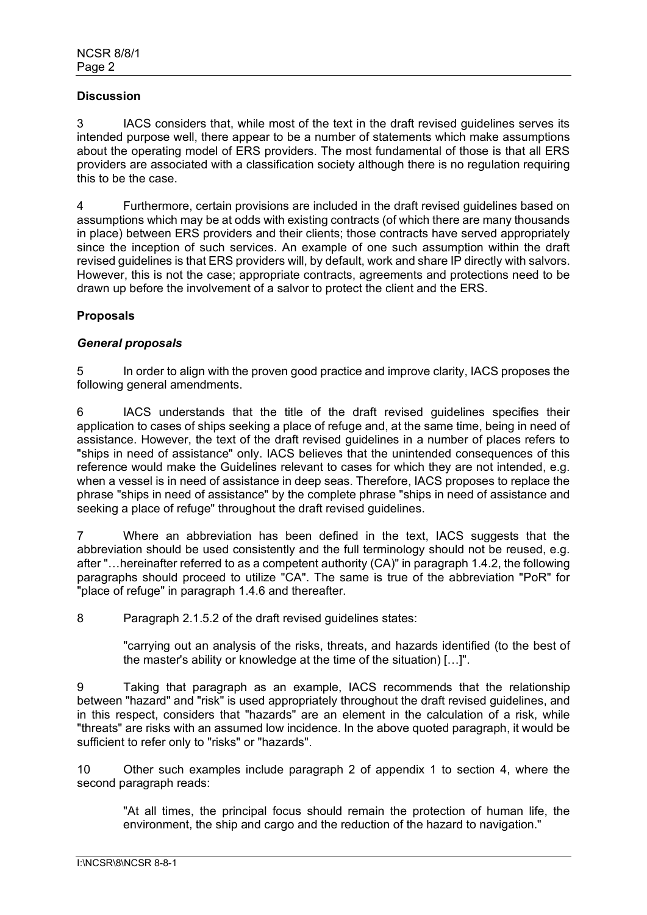#### **Discussion**

3 IACS considers that, while most of the text in the draft revised guidelines serves its intended purpose well, there appear to be a number of statements which make assumptions about the operating model of ERS providers. The most fundamental of those is that all ERS providers are associated with a classification society although there is no regulation requiring this to be the case.

4 Furthermore, certain provisions are included in the draft revised guidelines based on assumptions which may be at odds with existing contracts (of which there are many thousands in place) between ERS providers and their clients; those contracts have served appropriately since the inception of such services. An example of one such assumption within the draft revised guidelines is that ERS providers will, by default, work and share IP directly with salvors. However, this is not the case; appropriate contracts, agreements and protections need to be drawn up before the involvement of a salvor to protect the client and the ERS.

## **Proposals**

#### *General proposals*

5 In order to align with the proven good practice and improve clarity, IACS proposes the following general amendments.

6 IACS understands that the title of the draft revised guidelines specifies their application to cases of ships seeking a place of refuge and, at the same time, being in need of assistance. However, the text of the draft revised guidelines in a number of places refers to "ships in need of assistance" only. IACS believes that the unintended consequences of this reference would make the Guidelines relevant to cases for which they are not intended, e.g. when a vessel is in need of assistance in deep seas. Therefore, IACS proposes to replace the phrase "ships in need of assistance" by the complete phrase "ships in need of assistance and seeking a place of refuge" throughout the draft revised guidelines.

7 Where an abbreviation has been defined in the text, IACS suggests that the abbreviation should be used consistently and the full terminology should not be reused, e.g. after "…hereinafter referred to as a competent authority (CA)" in paragraph 1.4.2, the following paragraphs should proceed to utilize "CA". The same is true of the abbreviation "PoR" for "place of refuge" in paragraph 1.4.6 and thereafter.

8 Paragraph 2.1.5.2 of the draft revised guidelines states:

"carrying out an analysis of the risks, threats, and hazards identified (to the best of the master's ability or knowledge at the time of the situation) […]".

9 Taking that paragraph as an example, IACS recommends that the relationship between "hazard" and "risk" is used appropriately throughout the draft revised guidelines, and in this respect, considers that "hazards" are an element in the calculation of a risk, while "threats" are risks with an assumed low incidence. In the above quoted paragraph, it would be sufficient to refer only to "risks" or "hazards".

10 Other such examples include paragraph 2 of appendix 1 to section 4, where the second paragraph reads:

"At all times, the principal focus should remain the protection of human life, the environment, the ship and cargo and the reduction of the hazard to navigation."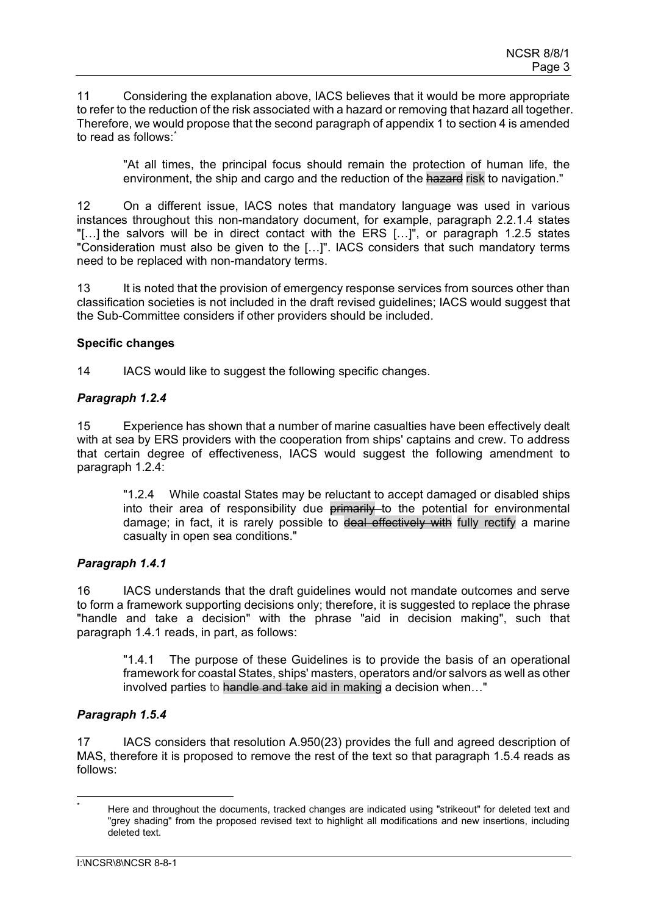11 Considering the explanation above, IACS believes that it would be more appropriate to refer to the reduction of the risk associated with a hazard or removing that hazard all together. Therefore, we would propose that the second paragraph of appendix 1 to section 4 is amended to read as follows: [\\*](#page-2-0)

"At all times, the principal focus should remain the protection of human life, the environment, the ship and cargo and the reduction of the hazard risk to navigation."

12 On a different issue, IACS notes that mandatory language was used in various instances throughout this non-mandatory document, for example, paragraph 2.2.1.4 states "[…] the salvors will be in direct contact with the ERS […]", or paragraph 1.2.5 states "Consideration must also be given to the […]". IACS considers that such mandatory terms need to be replaced with non-mandatory terms.

13 It is noted that the provision of emergency response services from sources other than classification societies is not included in the draft revised guidelines; IACS would suggest that the Sub-Committee considers if other providers should be included.

#### **Specific changes**

14 IACS would like to suggest the following specific changes.

## *Paragraph 1.2.4*

15 Experience has shown that a number of marine casualties have been effectively dealt with at sea by ERS providers with the cooperation from ships' captains and crew. To address that certain degree of effectiveness, IACS would suggest the following amendment to paragraph 1.2.4:

"1.2.4 While coastal States may be reluctant to accept damaged or disabled ships into their area of responsibility due primarily to the potential for environmental damage; in fact, it is rarely possible to deal effectively with fully rectify a marine casualty in open sea conditions."

#### *Paragraph 1.4.1*

16 IACS understands that the draft guidelines would not mandate outcomes and serve to form a framework supporting decisions only; therefore, it is suggested to replace the phrase "handle and take a decision" with the phrase "aid in decision making", such that paragraph 1.4.1 reads, in part, as follows:

"1.4.1 The purpose of these Guidelines is to provide the basis of an operational framework for coastal States, ships' masters, operators and/or salvors as well as other involved parties to handle and take aid in making a decision when..."

# *Paragraph 1.5.4*

17 IACS considers that resolution A.950(23) provides the full and agreed description of MAS, therefore it is proposed to remove the rest of the text so that paragraph 1.5.4 reads as follows:

<span id="page-2-0"></span>Here and throughout the documents, tracked changes are indicated using "strikeout" for deleted text and "grey shading" from the proposed revised text to highlight all modifications and new insertions, including deleted text.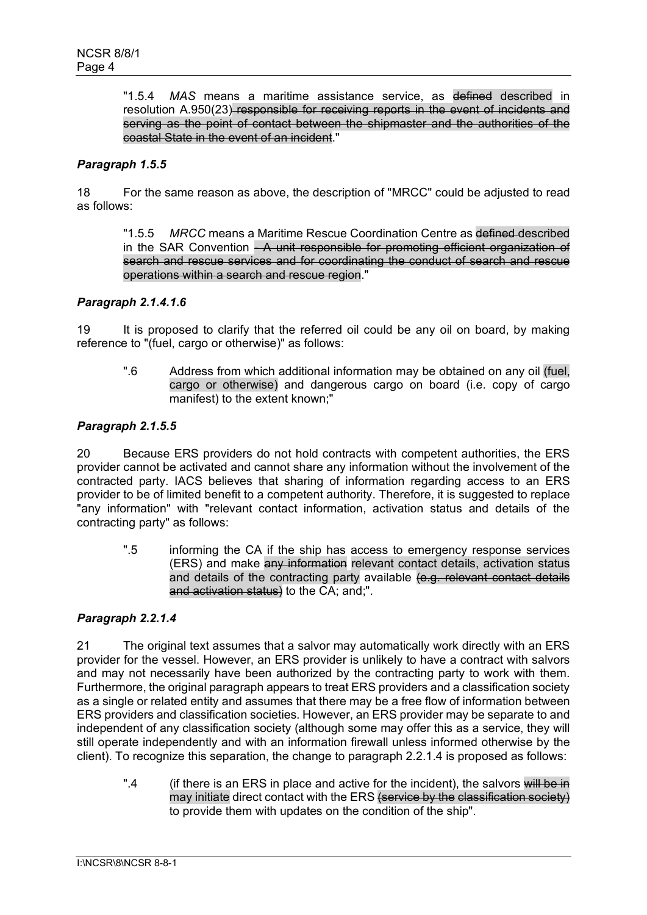"1.5.4 *MAS* means a maritime assistance service, as defined described in resolution A.950(23) responsible for receiving reports in the event of incidents and serving as the point of contact between the shipmaster and the authorities of the coastal State in the event of an incident."

## *Paragraph 1.5.5*

18 For the same reason as above, the description of "MRCC" could be adjusted to read as follows:

"1.5.5 *MRCC* means a Maritime Rescue Coordination Centre as defined described in the SAR Convention - A unit responsible for promoting efficient organization of search and rescue services and for coordinating the conduct of search and rescue operations within a search and rescue region."

#### *Paragraph 2.1.4.1.6*

19 It is proposed to clarify that the referred oil could be any oil on board, by making reference to "(fuel, cargo or otherwise)" as follows:

".6 Address from which additional information may be obtained on any oil (fuel, cargo or otherwise) and dangerous cargo on board (i.e. copy of cargo manifest) to the extent known;"

#### *Paragraph 2.1.5.5*

20 Because ERS providers do not hold contracts with competent authorities, the ERS provider cannot be activated and cannot share any information without the involvement of the contracted party. IACS believes that sharing of information regarding access to an ERS provider to be of limited benefit to a competent authority. Therefore, it is suggested to replace "any information" with "relevant contact information, activation status and details of the contracting party" as follows:

".5 informing the CA if the ship has access to emergency response services (ERS) and make any information relevant contact details, activation status and details of the contracting party available (e.g. relevant contact details and activation status) to the CA; and;".

#### *Paragraph 2.2.1.4*

21 The original text assumes that a salvor may automatically work directly with an ERS provider for the vessel. However, an ERS provider is unlikely to have a contract with salvors and may not necessarily have been authorized by the contracting party to work with them. Furthermore, the original paragraph appears to treat ERS providers and a classification society as a single or related entity and assumes that there may be a free flow of information between ERS providers and classification societies. However, an ERS provider may be separate to and independent of any classification society (although some may offer this as a service, they will still operate independently and with an information firewall unless informed otherwise by the client). To recognize this separation, the change to paragraph 2.2.1.4 is proposed as follows:

".4 (if there is an ERS in place and active for the incident), the salvors will be in may initiate direct contact with the ERS (service by the classification society) to provide them with updates on the condition of the ship".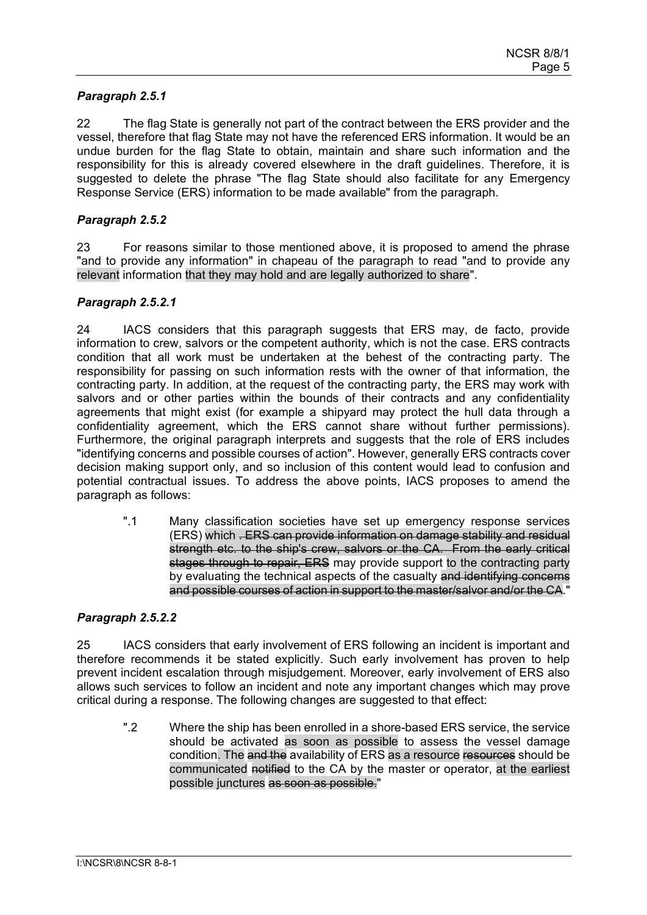## *Paragraph 2.5.1*

22 The flag State is generally not part of the contract between the ERS provider and the vessel, therefore that flag State may not have the referenced ERS information. It would be an undue burden for the flag State to obtain, maintain and share such information and the responsibility for this is already covered elsewhere in the draft guidelines. Therefore, it is suggested to delete the phrase "The flag State should also facilitate for any Emergency Response Service (ERS) information to be made available" from the paragraph.

#### *Paragraph 2.5.2*

23 For reasons similar to those mentioned above, it is proposed to amend the phrase "and to provide any information" in chapeau of the paragraph to read "and to provide any relevant information that they may hold and are legally authorized to share".

#### *Paragraph 2.5.2.1*

24 IACS considers that this paragraph suggests that ERS may, de facto, provide information to crew, salvors or the competent authority, which is not the case. ERS contracts condition that all work must be undertaken at the behest of the contracting party. The responsibility for passing on such information rests with the owner of that information, the contracting party. In addition, at the request of the contracting party, the ERS may work with salvors and or other parties within the bounds of their contracts and any confidentiality agreements that might exist (for example a shipyard may protect the hull data through a confidentiality agreement, which the ERS cannot share without further permissions). Furthermore, the original paragraph interprets and suggests that the role of ERS includes "identifying concerns and possible courses of action". However, generally ERS contracts cover decision making support only, and so inclusion of this content would lead to confusion and potential contractual issues. To address the above points, IACS proposes to amend the paragraph as follows:

".1 Many classification societies have set up emergency response services (ERS) which . ERS can provide information on damage stability and residual strength etc. to the ship's crew, salvors or the CA. From the early critical stages through to repair, ERS may provide support to the contracting party by evaluating the technical aspects of the casualty and identifying concerns and possible courses of action in support to the master/salvor and/or the CA."

#### *Paragraph 2.5.2.2*

25 IACS considers that early involvement of ERS following an incident is important and therefore recommends it be stated explicitly. Such early involvement has proven to help prevent incident escalation through misjudgement. Moreover, early involvement of ERS also allows such services to follow an incident and note any important changes which may prove critical during a response. The following changes are suggested to that effect:

".2 Where the ship has been enrolled in a shore-based ERS service, the service should be activated as soon as possible to assess the vessel damage condition. The and the availability of ERS as a resource resources should be communicated notified to the CA by the master or operator, at the earliest possible junctures as soon as possible."